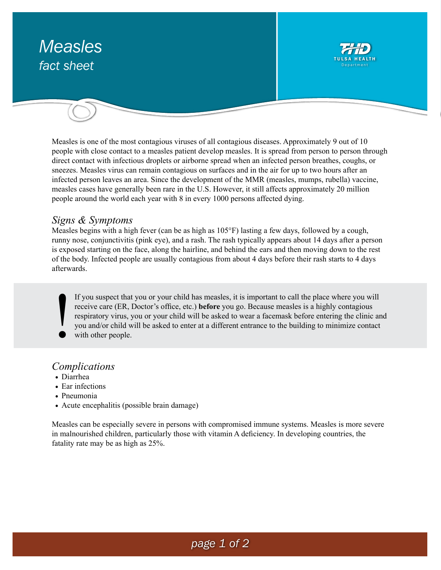# *Measles fact sheet*



Measles is one of the most contagious viruses of all contagious diseases. Approximately 9 out of 10 people with close contact to a measles patient develop measles. It is spread from person to person through direct contact with infectious droplets or airborne spread when an infected person breathes, coughs, or sneezes. Measles virus can remain contagious on surfaces and in the air for up to two hours after an infected person leaves an area. Since the development of the MMR (measles, mumps, rubella) vaccine, measles cases have generally been rare in the U.S. However, it still affects approximately 20 million people around the world each year with 8 in every 1000 persons affected dying.

#### *Signs & Symptoms*

Measles begins with a high fever (can be as high as 105°F) lasting a few days, followed by a cough, runny nose, conjunctivitis (pink eye), and a rash. The rash typically appears about 14 days after a person is exposed starting on the face, along the hairline, and behind the ears and then moving down to the rest of the body. Infected people are usually contagious from about 4 days before their rash starts to 4 days afterwards.

If you suspect that you or your child has measles, it is important to call the place where you will receive care (ER, Doctor's office, etc.) **before** you go. Because measles is a highly contagious respiratory virus, you or your child will be asked to wear a facemask before entering the clinic and you and/or child will be asked to enter at a different entrance to the building to minimize contact with other people. !

#### *Complications*

- Diarrhea
- Ear infections
- Pneumonia
- Acute encephalitis (possible brain damage)

Measles can be especially severe in persons with compromised immune systems. Measles is more severe in malnourished children, particularly those with vitamin A deficiency. In developing countries, the fatality rate may be as high as 25%.

## *page 1 of 2*